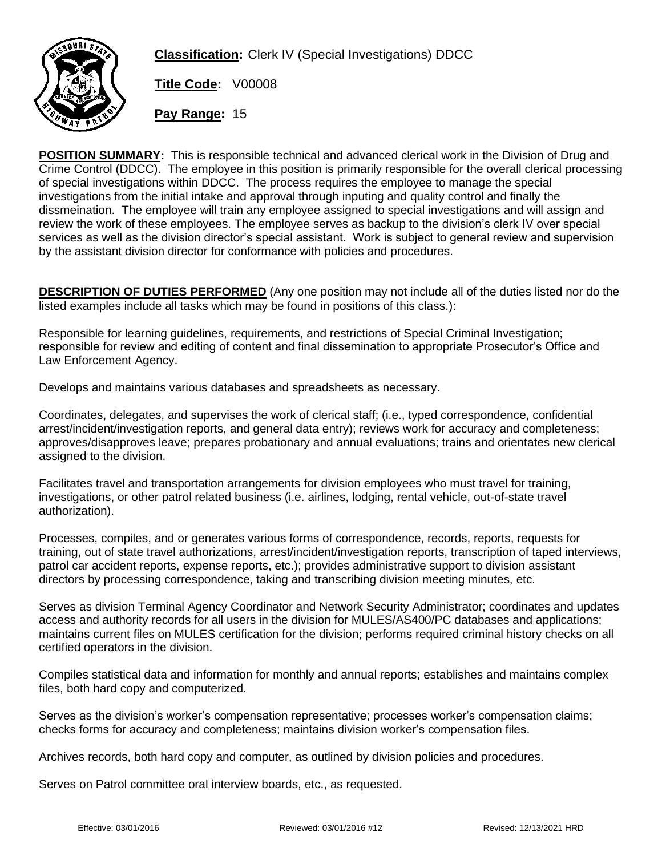

**Classification:** Clerk IV (Special Investigations) DDCC

**Title Code:** V00008

**Pay Range:** 15

**POSITION SUMMARY:** This is responsible technical and advanced clerical work in the Division of Drug and Crime Control (DDCC). The employee in this position is primarily responsible for the overall clerical processing of special investigations within DDCC. The process requires the employee to manage the special investigations from the initial intake and approval through inputing and quality control and finally the dissmeination. The employee will train any employee assigned to special investigations and will assign and review the work of these employees. The employee serves as backup to the division's clerk IV over special services as well as the division director's special assistant. Work is subject to general review and supervision by the assistant division director for conformance with policies and procedures.

**DESCRIPTION OF DUTIES PERFORMED** (Any one position may not include all of the duties listed nor do the listed examples include all tasks which may be found in positions of this class.):

Responsible for learning guidelines, requirements, and restrictions of Special Criminal Investigation; responsible for review and editing of content and final dissemination to appropriate Prosecutor's Office and Law Enforcement Agency.

Develops and maintains various databases and spreadsheets as necessary.

Coordinates, delegates, and supervises the work of clerical staff; (i.e., typed correspondence, confidential arrest/incident/investigation reports, and general data entry); reviews work for accuracy and completeness; approves/disapproves leave; prepares probationary and annual evaluations; trains and orientates new clerical assigned to the division.

Facilitates travel and transportation arrangements for division employees who must travel for training, investigations, or other patrol related business (i.e. airlines, lodging, rental vehicle, out-of-state travel authorization).

Processes, compiles, and or generates various forms of correspondence, records, reports, requests for training, out of state travel authorizations, arrest/incident/investigation reports, transcription of taped interviews, patrol car accident reports, expense reports, etc.); provides administrative support to division assistant directors by processing correspondence, taking and transcribing division meeting minutes, etc.

Serves as division Terminal Agency Coordinator and Network Security Administrator; coordinates and updates access and authority records for all users in the division for MULES/AS400/PC databases and applications; maintains current files on MULES certification for the division; performs required criminal history checks on all certified operators in the division.

Compiles statistical data and information for monthly and annual reports; establishes and maintains complex files, both hard copy and computerized.

Serves as the division's worker's compensation representative; processes worker's compensation claims; checks forms for accuracy and completeness; maintains division worker's compensation files.

Archives records, both hard copy and computer, as outlined by division policies and procedures.

Serves on Patrol committee oral interview boards, etc., as requested.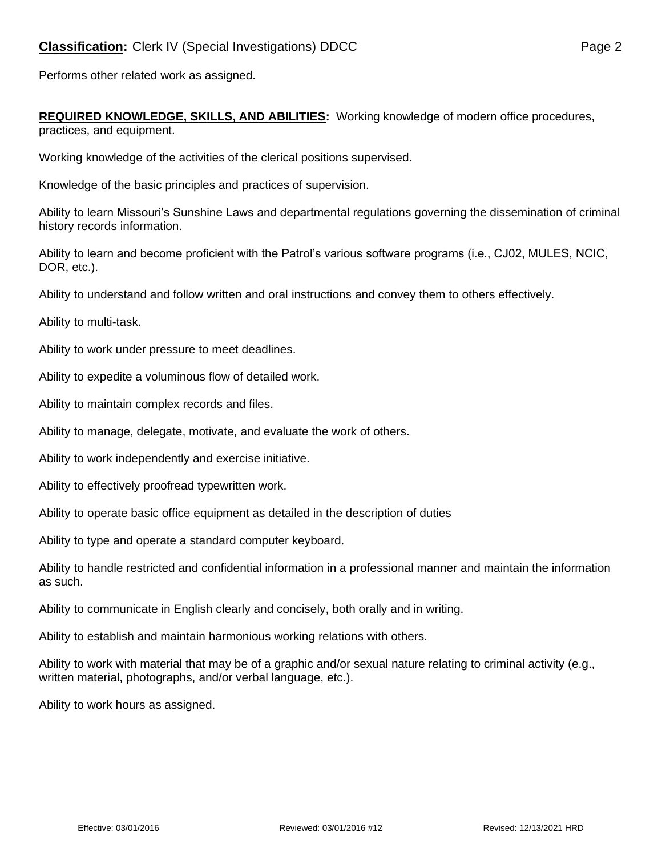Performs other related work as assigned.

**REQUIRED KNOWLEDGE, SKILLS, AND ABILITIES:** Working knowledge of modern office procedures, practices, and equipment.

Working knowledge of the activities of the clerical positions supervised.

Knowledge of the basic principles and practices of supervision.

Ability to learn Missouri's Sunshine Laws and departmental regulations governing the dissemination of criminal history records information.

Ability to learn and become proficient with the Patrol's various software programs (i.e., CJ02, MULES, NCIC, DOR, etc.).

Ability to understand and follow written and oral instructions and convey them to others effectively.

Ability to multi-task.

Ability to work under pressure to meet deadlines.

Ability to expedite a voluminous flow of detailed work.

Ability to maintain complex records and files.

Ability to manage, delegate, motivate, and evaluate the work of others.

Ability to work independently and exercise initiative.

Ability to effectively proofread typewritten work.

Ability to operate basic office equipment as detailed in the description of duties

Ability to type and operate a standard computer keyboard.

Ability to handle restricted and confidential information in a professional manner and maintain the information as such.

Ability to communicate in English clearly and concisely, both orally and in writing.

Ability to establish and maintain harmonious working relations with others.

Ability to work with material that may be of a graphic and/or sexual nature relating to criminal activity (e.g., written material, photographs, and/or verbal language, etc.).

Ability to work hours as assigned.